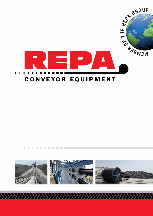





ш

ш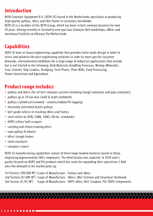## **Introduction**

REPA Conveyor Equipment B.V. (REPA CE) based in the Netherlands specialises in producing high quality pulleys, idlers and idler frame to customers worldwide.

REPA CE is a member of the REPA Group, which has been in belt conveyor business for over 30 years. Having recently re-located to new spacious Conveyor Belt workshops, offices and warehouse facilities in Alkmaar The Netherlands.

## **Capabilities**

REPA CE have in-house engineering capability that provides tailor made design in order to select and optimise the best engineering solutions in order to meet specific customer demands, environmental conditions for a large range of industrial applications that include but is not limited to the following: Bulk Materials Handling Processes, Mining (Minerals), Coal, Cement, Ship Loaders, Dredging, Steel Plants, Plate Mills, Food Processing, Power Generation and Agriculture.

## **Product range includes:**

- pulleys and idlers (for all belt conveyor systems including trough conveyors and pipe conveyors)
- pulleys up to 20 ton max (shell & shaft combined)
- pulleys (cylindrical/crowned ceramic/rubber/PU lagging)
- thermally controlled heater pulleys
- belt guide rollers/ re-tracking idlers and frames
- steel rollers to (DIN, CEMA, SANS, GB etc. standards)
- HDPE rollers/ belt scrapers
- carrying and return training idlers
- rope pulleys & wheels
- idler/ trough frames
- steel structures
- canopies/ covers

REPA CE manufacturing capabilities consist of three large modern factories based in China, employing approximately 500> employees. The third factory was acquired in 2018 and is purely focused on HDPE and PU products which has room for expanding their operations 3 fold once the demand in the market picks up.

1st Factory (200,000 M<sup>2</sup>) Scope of Manufacture - Pulleys and Idlers 2nd Factory (87,000 M<sup>2</sup>) Scope of Manufacture - Idlers, Idler Stations and Structural Steelwork 3rd Factory (9,701 M<sup>2</sup>) Scope of Manufacture - HDPE Idlers, Belt Scrapers, PU/ HDPE Components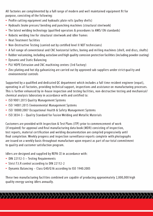All factories are complimented by a full range of modern and well maintained equipment fit for purpose, consisting of the following:

- Profile cutting equipment and hydraulic plate rolls (pulley shells)
- Hydraulic brake presses/ bending and punching machines (structural steelwork)
- The latest welding technology (qualified operators & procedures to AWS/ EN standards)
- Robotic welding line for structural steelwork and idler frames
- Heat Treatment facilities
- Non-Destructive Testing (carried out by certified level II NDT technicians)
- A full range of conventional and CNC horizontal lathes, boring and milling machines (shell, end discs, shafts)
- Rubber vulcanizing, including autoclave and high quality corrosion protection facilities (including powder coating)
- Dynamic and Static Balancing
- PU/ HDPE Extrusion and CNC machining centres (3rd Factory)
- Zinc plating and hot dip galvanizing are carried out by approved sub-suppliers under strict quality and environmental controls

Supported by a qualified and dedicated QC department which includes a full time resident engineer (expat), operating in all factories, providing technical support, inspections and assistance on manufacturing processes. This is further enhanced by in-house inspection and testing facilities, non-destructive testing and mechanical/ chemical analysis laboratory in accordance with and certified to:

- ISO 9001:2015 Quality Management Systems
- ISO 14001:2015 Environmental Management Systems
- ISO 18000:2007 Occupational Health & Safety Management Systems
- ISO 3834-3 Quality Standard for Fusion Welding and Metallic Materials

Customers are provided with Inspection & Test Plans (ITP) prior to commencement of work (if required) for approval and final manufacturing data book (MDR) consisting of inspection, test reports, material certification and welding documentation are compiled progressively until final completion. Weekly progress and inspection surveillance reports complete with photographs are issued on a weekly basis throughout manufacture upon request as part of our total commitment to quality and customer satisfaction program.

Idlers are designed and supplied by REPA CE in accordance with:

- DIN 22112-3 Testing Requirements
- Strict T.I.R control according to DIN 22112-2
- Dynamic Balancing Class G40/G16 according to ISO 1940:2005

These two manufacturing facilities combined are capable of producing approximately 2,000,000 high quality energy saving idlers annually.